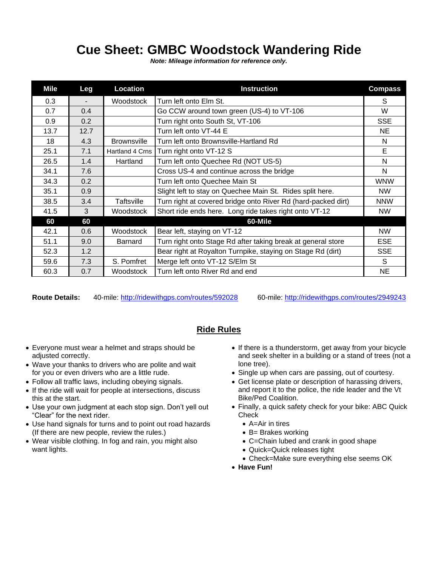## **Cue Sheet: GMBC Woodstock Wandering Ride**

*Note: Mileage information for reference only.*

| Mile | Leg  | Location           | <b>Instruction</b>                                            | <b>Compass</b> |
|------|------|--------------------|---------------------------------------------------------------|----------------|
| 0.3  |      | Woodstock          | Turn left onto Elm St.                                        | S              |
| 0.7  | 0.4  |                    | Go CCW around town green (US-4) to VT-106                     | W              |
| 0.9  | 0.2  |                    | Turn right onto South St, VT-106                              | <b>SSE</b>     |
| 13.7 | 12.7 |                    | Turn left onto VT-44 E                                        | NE             |
| 18   | 4.3  | <b>Brownsville</b> | Turn left onto Brownsville-Hartland Rd                        | N              |
| 25.1 | 7.1  | Hartland 4 Crns    | Turn right onto VT-12 S                                       | E              |
| 26.5 | 1.4  | Hartland           | Turn left onto Quechee Rd (NOT US-5)                          | N              |
| 34.1 | 7.6  |                    | Cross US-4 and continue across the bridge                     | N              |
| 34.3 | 0.2  |                    | Turn left onto Quechee Main St                                | <b>WNW</b>     |
| 35.1 | 0.9  |                    | Slight left to stay on Quechee Main St. Rides split here.     | <b>NW</b>      |
| 38.5 | 3.4  | Taftsville         | Turn right at covered bridge onto River Rd (hard-packed dirt) | <b>NNW</b>     |
| 41.5 | 3    | Woodstock          | Short ride ends here. Long ride takes right onto VT-12        | <b>NW</b>      |
| 60   | 60   |                    | 60-Mile                                                       |                |
| 42.1 | 0.6  | Woodstock          | Bear left, staying on VT-12                                   | <b>NW</b>      |
| 51.1 | 9.0  | <b>Barnard</b>     | Turn right onto Stage Rd after taking break at general store  | ESE            |
| 52.3 | 1.2  |                    | Bear right at Royalton Turnpike, staying on Stage Rd (dirt)   | <b>SSE</b>     |
| 59.6 | 7.3  | S. Pomfret         | Merge left onto VT-12 S/Elm St                                | S              |
| 60.3 | 0.7  | Woodstock          | Turn left onto River Rd and end                               | NE             |

**Route Details:** 40-mile:<http://ridewithgps.com/routes/592028> 60-mile:<http://ridewithgps.com/routes/2949243>

## **Ride Rules**

- Everyone must wear a helmet and straps should be adjusted correctly.
- Wave your thanks to drivers who are polite and wait for you or even drivers who are a little rude.
- Follow all traffic laws, including obeying signals.
- If the ride will wait for people at intersections, discuss this at the start.
- Use your own judgment at each stop sign. Don't yell out "Clear" for the next rider.
- Use hand signals for turns and to point out road hazards (If there are new people, review the rules.)
- Wear visible clothing. In fog and rain, you might also want lights.
- If there is a thunderstorm, get away from your bicycle and seek shelter in a building or a stand of trees (not a lone tree).
- Single up when cars are passing, out of courtesy.
- Get license plate or description of harassing drivers, and report it to the police, the ride leader and the Vt Bike/Ped Coalition.
- Finally, a quick safety check for your bike: ABC Quick **Check** 
	- A=Air in tires
	- B= Brakes working
	- C=Chain lubed and crank in good shape
	- Quick=Quick releases tight
	- Check=Make sure everything else seems OK
- **Have Fun!**